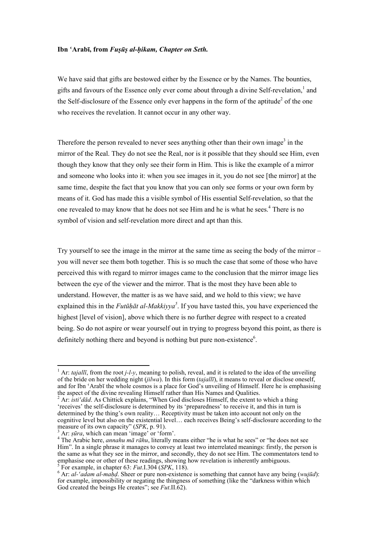## **Ibn ʿArabī, from** *Fuṣūṣ al-ḥikam, Chapter on Seth.*

We have said that gifts are bestowed either by the Essence or by the Names. The bounties, gifts and favours of the Essence only ever come about through a divine Self-revelation, 1 and the Self-disclosure of the Essence only ever happens in the form of the aptitude<sup>2</sup> of the one who receives the revelation. It cannot occur in any other way.

Therefore the person revealed to never sees anything other than their own image<sup>3</sup> in the mirror of the Real. They do not see the Real, nor is it possible that they should see Him, even though they know that they only see their form in Him. This is like the example of a mirror and someone who looks into it: when you see images in it, you do not see [the mirror] at the same time, despite the fact that you know that you can only see forms or your own form by means of it. God has made this a visible symbol of His essential Self-revelation, so that the one revealed to may know that he does not see Him and he is what he sees. 4 There is no symbol of vision and self-revelation more direct and apt than this.

Try yourself to see the image in the mirror at the same time as seeing the body of the mirror – you will never see them both together. This is so much the case that some of those who have perceived this with regard to mirror images came to the conclusion that the mirror image lies between the eye of the viewer and the mirror. That is the most they have been able to understand. However, the matter is as we have said, and we hold to this view; we have explained this in the *Futūḥāt al-Makkiyya<sup>5</sup>* . If you have tasted this, you have experienced the highest [level of vision], above which there is no further degree with respect to a created being. So do not aspire or wear yourself out in trying to progress beyond this point, as there is definitely nothing there and beyond is nothing but pure non-existence<sup>6</sup>.

<sup>1</sup> Ar: *tajallī*, from the root *j-l-y*, meaning to polish, reveal, and it is related to the idea of the unveiling of the bride on her wedding night (*jilwa*). In this form (*tajallī*), it means to reveal or disclose oneself, and for Ibn 'Arabī the whole cosmos is a place for God's unveiling of Himself. Here he is emphasising the aspect of the divine revealing Himself rather than His Names and Qualities.

 $t^2$  Ar: *isti<sup><i>'*</sup>d $\bar{a}d$ . As Chittick explains, "When God discloses Himself, the extent to which a thing 'receives' the self-disclosure is determined by its 'preparedness' to receive it, and this in turn is determined by the thing's own reality… Receptivity must be taken into account not only on the cognitive level but also on the existential level… each receives Being's self-disclosure according to the measure of its own capacity" (*SPK*, p. 91).<br><sup>3</sup> Ar: *ṣūra*, which can mean 'image' or 'form'.<br><sup>4</sup> The Arabic here, *annahu mā rāhu*, literally means either "he is what he sees" or "he does not see

Him". In a single phrase it manages to convey at least two interrelated meanings: firstly, the person is the same as what they see in the mirror, and secondly, they do not see Him. The commentators tend to emphasise one or other of these readings, showing how revelation is inherently ambiguous.

<sup>&</sup>lt;sup>5</sup> For example, in chapter 63: Fut.I.304 (SPK, 118).

 $\sum_{i=1}^{n}$   $\sum_{i=1}^{n}$   $\sum_{i=1}^{n}$   $\sum_{i=1}^{n}$   $\sum_{i=1}^{n}$   $\sum_{i=1}^{n}$   $\sum_{i=1}^{n}$   $\sum_{i=1}^{n}$   $\sum_{i=1}^{n}$   $\sum_{i=1}^{n}$   $\sum_{i=1}^{n}$   $\sum_{i=1}^{n}$   $\sum_{i=1}^{n}$   $\sum_{i=1}^{n}$   $\sum_{i=1}^{n}$   $\sum_{i=1}^{n}$   $\sum_{i=1}^{n}$  for example, impossibility or negating the thingness of something (like the "darkness within which God created the beings He creates"; see *Fut*.II.62).